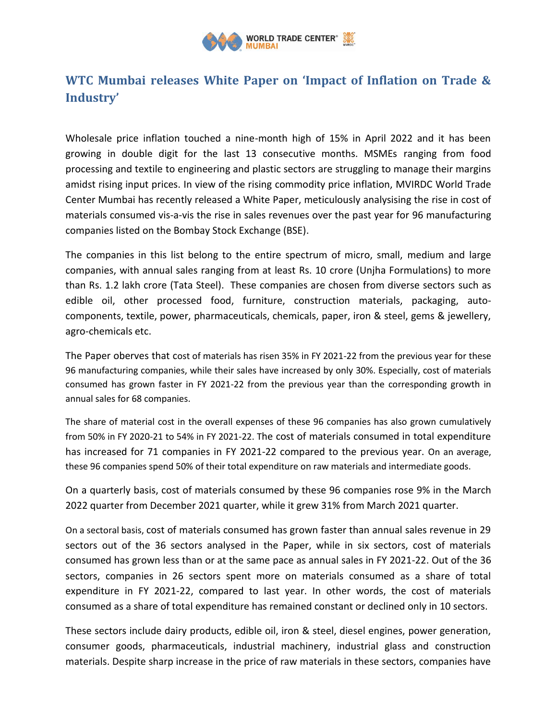

## **WTC Mumbai releases White Paper on 'Impact of Inflation on Trade & Industry'**

Wholesale price inflation touched a nine-month high of 15% in April 2022 and it has been growing in double digit for the last 13 consecutive months. MSMEs ranging from food processing and textile to engineering and plastic sectors are struggling to manage their margins amidst rising input prices. In view of the rising commodity price inflation, MVIRDC World Trade Center Mumbai has recently released a White Paper, meticulously analysising the rise in cost of materials consumed vis-a-vis the rise in sales revenues over the past year for 96 manufacturing companies listed on the Bombay Stock Exchange (BSE).

The companies in this list belong to the entire spectrum of micro, small, medium and large companies, with annual sales ranging from at least Rs. 10 crore (Unjha Formulations) to more than Rs. 1.2 lakh crore (Tata Steel). These companies are chosen from diverse sectors such as edible oil, other processed food, furniture, construction materials, packaging, autocomponents, textile, power, pharmaceuticals, chemicals, paper, iron & steel, gems & jewellery, agro-chemicals etc.

The Paper oberves that cost of materials has risen 35% in FY 2021-22 from the previous year for these 96 manufacturing companies, while their sales have increased by only 30%. Especially, cost of materials consumed has grown faster in FY 2021-22 from the previous year than the corresponding growth in annual sales for 68 companies.

The share of material cost in the overall expenses of these 96 companies has also grown cumulatively from 50% in FY 2020-21 to 54% in FY 2021-22. The cost of materials consumed in total expenditure has increased for 71 companies in FY 2021-22 compared to the previous year. On an average, these 96 companies spend 50% of their total expenditure on raw materials and intermediate goods.

On a quarterly basis, cost of materials consumed by these 96 companies rose 9% in the March 2022 quarter from December 2021 quarter, while it grew 31% from March 2021 quarter.

On a sectoral basis, cost of materials consumed has grown faster than annual sales revenue in 29 sectors out of the 36 sectors analysed in the Paper, while in six sectors, cost of materials consumed has grown less than or at the same pace as annual sales in FY 2021-22. Out of the 36 sectors, companies in 26 sectors spent more on materials consumed as a share of total expenditure in FY 2021-22, compared to last year. In other words, the cost of materials consumed as a share of total expenditure has remained constant or declined only in 10 sectors.

These sectors include dairy products, edible oil, iron & steel, diesel engines, power generation, consumer goods, pharmaceuticals, industrial machinery, industrial glass and construction materials. Despite sharp increase in the price of raw materials in these sectors, companies have